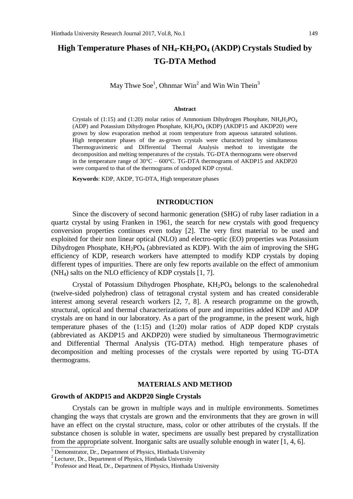# **High Temperature Phases of NH4-KH2PO<sup>4</sup> (AKDP) Crystals Studied by TG-DTA Method**

May Thwe Soe<sup>1</sup>, Ohnmar Win<sup>2</sup> and Win Win Thein<sup>3</sup>

#### **Abstract**

Crystals of (1:15) and (1:20) molar ratios of Ammonium Dihydrogen Phosphate,  $NH_4H_2PO_4$ (ADP) and Potassium Dihydrogen Phosphate, KH2PO<sup>4</sup> (KDP) (AKDP15 and AKDP20) were grown by slow evaporation method at room temperature from aqueous saturated solutions. High temperature phases of the as-grown crystals were characterized by simultaneous Thermogravimetric and Differential Thermal Analysis method to investigate the decomposition and melting temperatures of the crystals. TG-DTA thermograms were observed in the temperature range of  $30^{\circ}$ C –  $600^{\circ}$ C. TG-DTA thermograms of AKDP15 and AKDP20 were compared to that of the thermograms of undoped KDP crystal.

**Keywords**: KDP, AKDP, TG-DTA, High temperature phases

# **INTRODUCTION**

Since the discovery of second harmonic generation (SHG) of ruby laser radiation in a quartz crystal by using Franken in 1961, the search for new crystals with good frequency conversion properties continues even today [2]. The very first material to be used and exploited for their non linear optical (NLO) and electro-optic (EO) properties was Potassium Dihydrogen Phosphate,  $KH_2PO_4$  (abbreviated as KDP). With the aim of improving the SHG efficiency of KDP, research workers have attempted to modify KDP crystals by doping different types of impurities. There are only few reports available on the effect of ammonium (NH4) salts on the NLO efficiency of KDP crystals [1, 7].

Crystal of Potassium Dihydrogen Phosphate,  $KH_2PO_4$  belongs to the scalenohedral (twelve-sided polyhedron) class of tetragonal crystal system and has created considerable interest among several research workers [2, 7, 8]. A research programme on the growth, structural, optical and thermal characterizations of pure and impurities added KDP and ADP crystals are on hand in our laboratory. As a part of the programme, in the present work, high temperature phases of the (1:15) and (1:20) molar ratios of ADP doped KDP crystals (abbreviated as AKDP15 and AKDP20) were studied by simultaneous Thermogravimetric and Differential Thermal Analysis (TG-DTA) method. High temperature phases of decomposition and melting processes of the crystals were reported by using TG-DTA thermograms.

### **MATERIALS AND METHOD**

## **Growth of AKDP15 and AKDP20 Single Crystals**

Crystals can be grown in multiple ways and in multiple environments. Sometimes changing the ways that crystals are grown and the environments that they are grown in will have an effect on the crystal structure, mass, color or other attributes of the crystals. If the substance chosen is soluble in water, specimens are usually best prepared by crystallization from the appropriate solvent. Inorganic salts are usually soluble enough in water [1, 4, 6].

 $\overline{1}$  Demonstrator, Dr., Department of Physics, Hinthada University

<sup>&</sup>lt;sup>2</sup> Lecturer, Dr., Department of Physics, Hinthada University

<sup>&</sup>lt;sup>3</sup> Professor and Head, Dr., Department of Physics, Hinthada University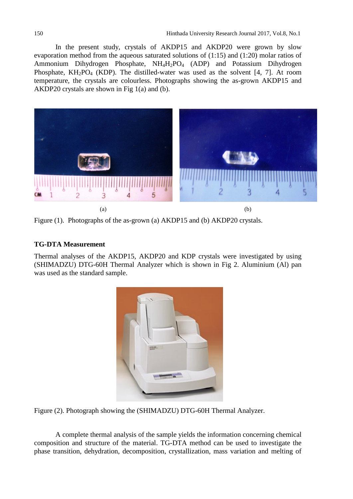In the present study, crystals of AKDP15 and AKDP20 were grown by slow evaporation method from the aqueous saturated solutions of (1:15) and (1:20) molar ratios of Ammonium Dihydrogen Phosphate, NH<sub>4</sub>H<sub>2</sub>PO<sub>4</sub> (ADP) and Potassium Dihydrogen Phosphate,  $KH_2PO_4$  (KDP). The distilled-water was used as the solvent [4, 7]. At room temperature, the crystals are colourless. Photographs showing the as-grown AKDP15 and AKDP20 crystals are shown in Fig 1(a) and (b).



Figure (1). Photographs of the as-grown (a) AKDP15 and (b) AKDP20 crystals.

# **TG-DTA Measurement**

Thermal analyses of the AKDP15, AKDP20 and KDP crystals were investigated by using (SHIMADZU) DTG-60H Thermal Analyzer which is shown in Fig 2. Aluminium (Al) pan was used as the standard sample.



Figure (2). Photograph showing the (SHIMADZU) DTG-60H Thermal Analyzer.

A complete thermal analysis of the sample yields the information concerning chemical composition and structure of the material. TG-DTA method can be used to investigate the phase transition, dehydration, decomposition, crystallization, mass variation and melting of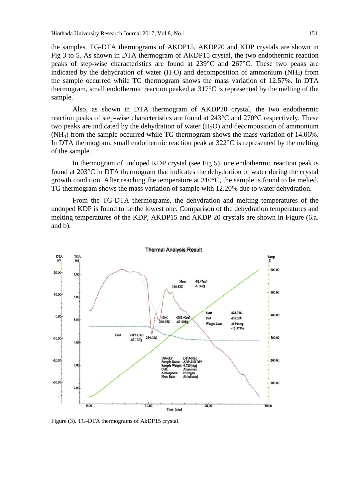the samples. TG-DTA thermograms of AKDP15, AKDP20 and KDP crystals are shown in Fig 3 to 5. As shown in DTA thermogram of AKDP15 crystal, the two endothermic reaction peaks of step-wise characteristics are found at 239°C and 267°C. These two peaks are indicated by the dehydration of water  $(H_2O)$  and decomposition of ammonium  $(NH_4)$  from the sample occurred while TG thermogram shows the mass variation of 12.57%. In DTA thermogram, small endothermic reaction peaked at 317°C is represented by the melting of the sample.

Also, as shown in DTA thermogram of AKDP20 crystal, the two endothermic reaction peaks of step-wise characteristics are found at 243°C and 270°C respectively. These two peaks are indicated by the dehydration of water  $(H<sub>2</sub>O)$  and decomposition of ammonium (NH4) from the sample occurred while TG thermogram shows the mass variation of 14.06%. In DTA thermogram, small endothermic reaction peak at 322°C is represented by the melting of the sample.

In thermogram of undoped KDP crystal (see Fig 5), one endothermic reaction peak is found at 203°C in DTA thermogram that indicates the dehydration of water during the crystal growth condition. After reaching the temperature at 310°C, the sample is found to be melted. TG thermogram shows the mass variation of sample with 12.20% due to water dehydration.

From the TG-DTA thermograms, the dehydration and melting temperatures of the undoped KDP is found to be the lowest one. Comparison of the dehydration temperatures and melting temperatures of the KDP, AKDP15 and AKDP 20 crystals are shown in Figure (6.a. and b).



Figure (3). TG-DTA thermograms of AkDP15 crystal.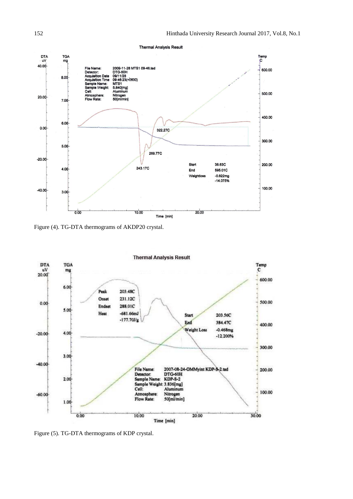

Figure (4). TG-DTA thermograms of AKDP20 crystal.



Figure (5). TG-DTA thermograms of KDP crystal.